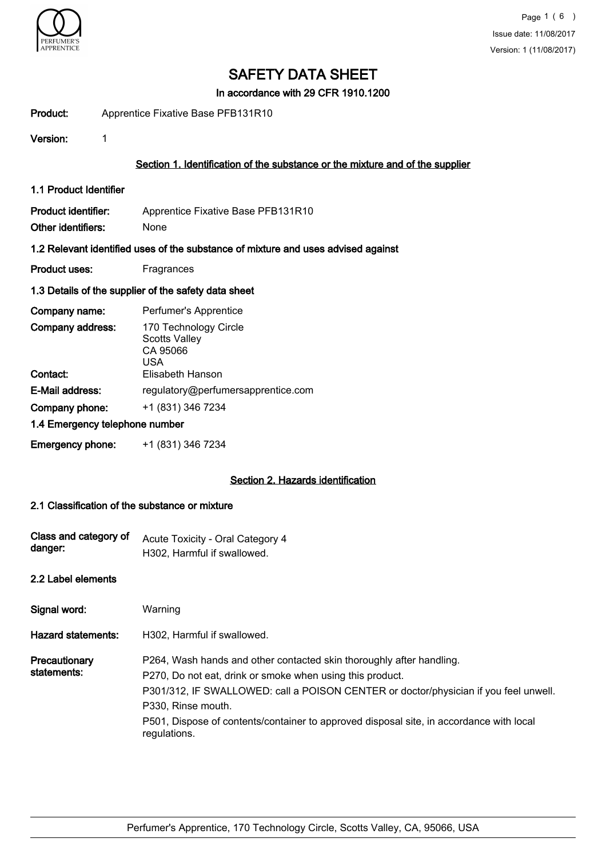

In accordance with 29 CFR 1910.1200

Product: Apprentice Fixative Base PFB131R10

Version: 1

## Section 1. Identification of the substance or the mixture and of the supplier

1.1 Product Identifier

Product identifier: Apprentice Fixative Base PFB131R10 Other identifiers: None

#### 1.2 Relevant identified uses of the substance of mixture and uses advised against

Product uses: Fragrances

#### 1.3 Details of the supplier of the safety data sheet

| Company name:                  | Perfumer's Apprentice                                            |
|--------------------------------|------------------------------------------------------------------|
| Company address:               | 170 Technology Circle<br><b>Scotts Valley</b><br>CA 95066<br>USA |
| Contact:                       | Elisabeth Hanson                                                 |
| E-Mail address:                | regulatory@perfumersapprentice.com                               |
| Company phone:                 | +1 (831) 346 7234                                                |
| 1.4 Emergency telephone number |                                                                  |
| <b>Emergency phone:</b>        | +1 (831) 346 7234                                                |

### Section 2. Hazards identification

#### 2.1 Classification of the substance or mixture

| Class and category of<br>danger: | Acute Toxicity - Oral Category 4<br>H302, Harmful if swallowed.                                                                                                                                                                                                                                                                                            |
|----------------------------------|------------------------------------------------------------------------------------------------------------------------------------------------------------------------------------------------------------------------------------------------------------------------------------------------------------------------------------------------------------|
| 2.2 Label elements               |                                                                                                                                                                                                                                                                                                                                                            |
| Signal word:                     | Warning                                                                                                                                                                                                                                                                                                                                                    |
| <b>Hazard statements:</b>        | H302, Harmful if swallowed.                                                                                                                                                                                                                                                                                                                                |
| Precautionary<br>statements:     | P264, Wash hands and other contacted skin thoroughly after handling.<br>P270, Do not eat, drink or smoke when using this product.<br>P301/312, IF SWALLOWED: call a POISON CENTER or doctor/physician if you feel unwell.<br>P330, Rinse mouth.<br>P501, Dispose of contents/container to approved disposal site, in accordance with local<br>regulations. |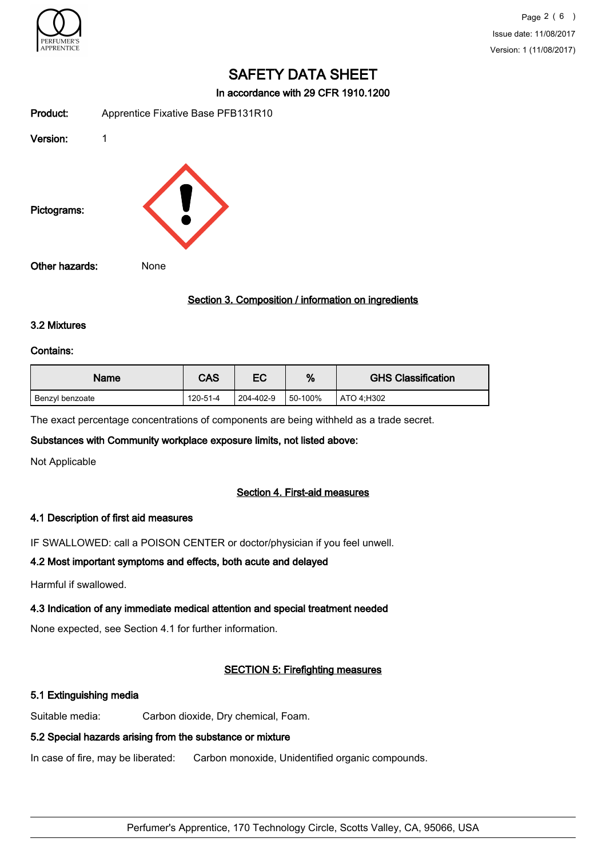

In accordance with 29 CFR 1910.1200

| Product:       | Apprentice Fixative Base PFB131R10 |
|----------------|------------------------------------|
| Version:       | 1                                  |
| Pictograms:    |                                    |
| Other hazards: | None                               |

## Section 3. Composition / information on ingredients

#### 3.2 Mixtures

#### Contains:

| Name            | <b>CAS</b> | EC        | %           | <b>GHS Classification</b> |
|-----------------|------------|-----------|-------------|---------------------------|
| Benzyl benzoate | 120-51-4   | 204-402-9 | $150-100\%$ | ATO 4:H302                |

The exact percentage concentrations of components are being withheld as a trade secret.

#### Substances with Community workplace exposure limits, not listed above:

Not Applicable

#### Section 4. First-aid measures

#### 4.1 Description of first aid measures

IF SWALLOWED: call a POISON CENTER or doctor/physician if you feel unwell.

# 4.2 Most important symptoms and effects, both acute and delayed

Harmful if swallowed.

# 4.3 Indication of any immediate medical attention and special treatment needed

None expected, see Section 4.1 for further information.

# SECTION 5: Firefighting measures

# 5.1 Extinguishing media

Suitable media: Carbon dioxide, Dry chemical, Foam.

# 5.2 Special hazards arising from the substance or mixture

In case of fire, may be liberated: Carbon monoxide, Unidentified organic compounds.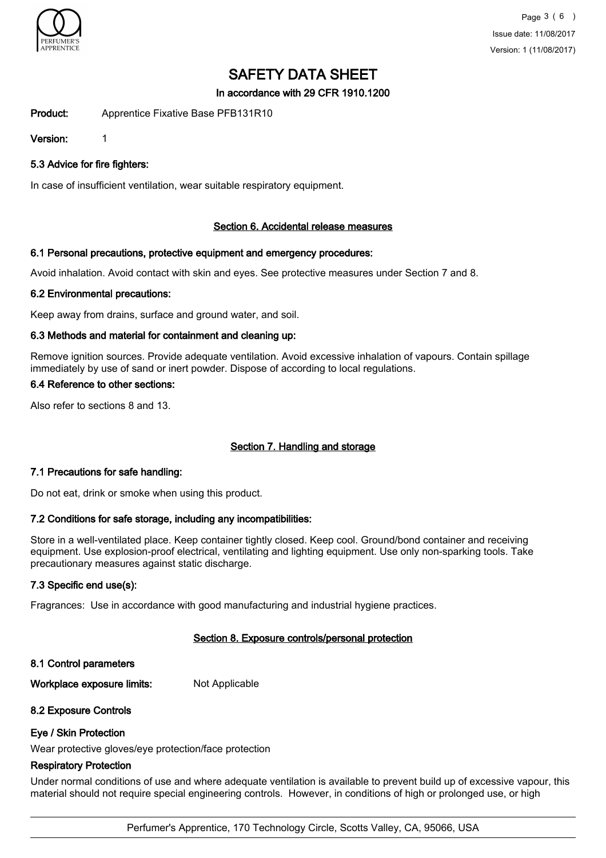

In accordance with 29 CFR 1910.1200

Product: Apprentice Fixative Base PFB131R10

Version: 1

5.3 Advice for fire fighters:

In case of insufficient ventilation, wear suitable respiratory equipment.

## Section 6. Accidental release measures

## 6.1 Personal precautions, protective equipment and emergency procedures:

Avoid inhalation. Avoid contact with skin and eyes. See protective measures under Section 7 and 8.

## 6.2 Environmental precautions:

Keep away from drains, surface and ground water, and soil.

## 6.3 Methods and material for containment and cleaning up:

Remove ignition sources. Provide adequate ventilation. Avoid excessive inhalation of vapours. Contain spillage immediately by use of sand or inert powder. Dispose of according to local regulations.

## 6.4 Reference to other sections:

Also refer to sections 8 and 13.

# Section 7. Handling and storage

#### 7.1 Precautions for safe handling:

Do not eat, drink or smoke when using this product.

### 7.2 Conditions for safe storage, including any incompatibilities:

Store in a well-ventilated place. Keep container tightly closed. Keep cool. Ground/bond container and receiving equipment. Use explosion-proof electrical, ventilating and lighting equipment. Use only non-sparking tools. Take precautionary measures against static discharge.

#### 7.3 Specific end use(s):

Fragrances: Use in accordance with good manufacturing and industrial hygiene practices.

# Section 8. Exposure controls/personal protection

#### 8.1 Control parameters

Workplace exposure limits: Not Applicable

#### 8.2 Exposure Controls

#### Eye / Skin Protection

Wear protective gloves/eye protection/face protection

## Respiratory Protection

Under normal conditions of use and where adequate ventilation is available to prevent build up of excessive vapour, this material should not require special engineering controls. However, in conditions of high or prolonged use, or high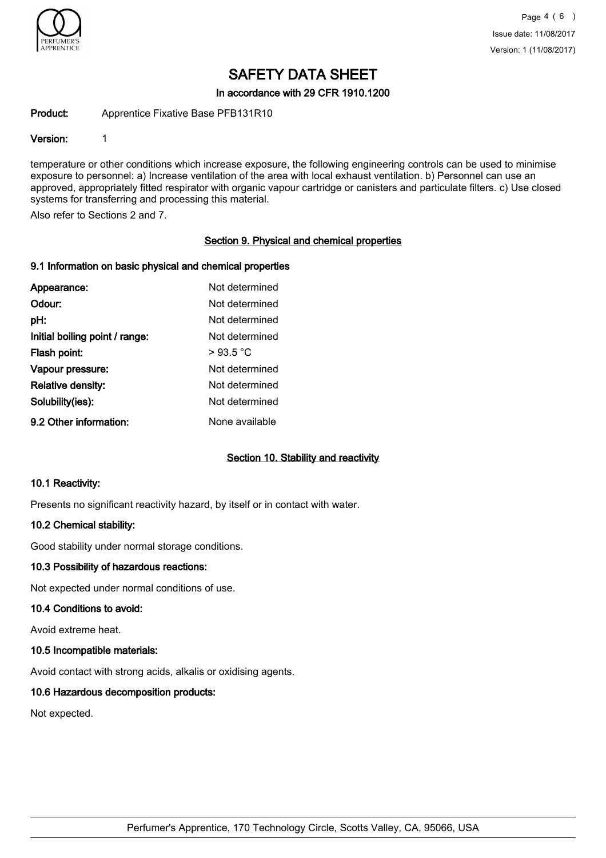

In accordance with 29 CFR 1910.1200

Product: Apprentice Fixative Base PFB131R10

#### Version: 1

temperature or other conditions which increase exposure, the following engineering controls can be used to minimise exposure to personnel: a) Increase ventilation of the area with local exhaust ventilation. b) Personnel can use an approved, appropriately fitted respirator with organic vapour cartridge or canisters and particulate filters. c) Use closed systems for transferring and processing this material.

Also refer to Sections 2 and 7.

## Section 9. Physical and chemical properties

#### 9.1 Information on basic physical and chemical properties

| Appearance:                    | Not determined |
|--------------------------------|----------------|
| Odour:                         | Not determined |
| pH:                            | Not determined |
| Initial boiling point / range: | Not determined |
| Flash point:                   | >93.5 °C       |
| Vapour pressure:               | Not determined |
| Relative density:              | Not determined |
| Solubility(ies):               | Not determined |
| 9.2 Other information:         | None available |

#### Section 10. Stability and reactivity

#### 10.1 Reactivity:

Presents no significant reactivity hazard, by itself or in contact with water.

#### 10.2 Chemical stability:

Good stability under normal storage conditions.

#### 10.3 Possibility of hazardous reactions:

Not expected under normal conditions of use.

#### 10.4 Conditions to avoid:

Avoid extreme heat.

#### 10.5 Incompatible materials:

Avoid contact with strong acids, alkalis or oxidising agents.

#### 10.6 Hazardous decomposition products:

Not expected.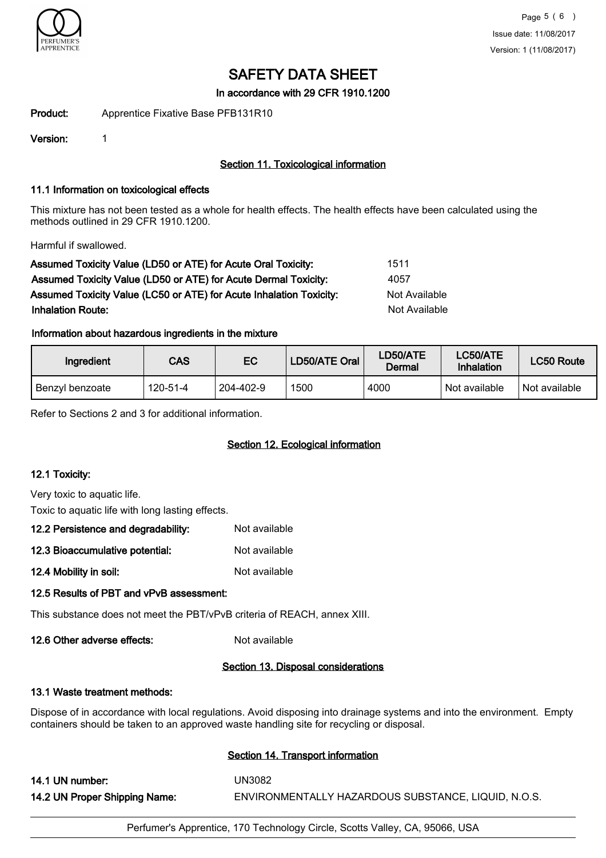

In accordance with 29 CFR 1910.1200

Product: Apprentice Fixative Base PFB131R10

Version: 1

# Section 11. Toxicological information

### 11.1 Information on toxicological effects

This mixture has not been tested as a whole for health effects. The health effects have been calculated using the methods outlined in 29 CFR 1910.1200.

Harmful if swallowed.

| Assumed Toxicity Value (LD50 or ATE) for Acute Oral Toxicity:       | 1511          |
|---------------------------------------------------------------------|---------------|
| Assumed Toxicity Value (LD50 or ATE) for Acute Dermal Toxicity:     | 4057          |
| Assumed Toxicity Value (LC50 or ATE) for Acute Inhalation Toxicity: | Not Available |
| <b>Inhalation Route:</b>                                            | Not Available |

## Information about hazardous ingredients in the mixture

| Ingredient      | CAS      | EC        | LD50/ATE Oral <sup> </sup> | LD50/ATE<br>Dermal | <b>LC50/ATE</b><br>Inhalation | LC50 Route    |
|-----------------|----------|-----------|----------------------------|--------------------|-------------------------------|---------------|
| Benzyl benzoate | 120-51-4 | 204-402-9 | 1500                       | 4000               | Not available                 | Not available |

Refer to Sections 2 and 3 for additional information.

# Section 12. Ecological information

#### 12.1 Toxicity:

Very toxic to aquatic life.

Toxic to aquatic life with long lasting effects.

| 12.2 Persistence and degradability: | Not available |
|-------------------------------------|---------------|
| 12.3 Bioaccumulative potential:     | Not available |

12.4 Mobility in soil: Not available

# 12.5 Results of PBT and vPvB assessment:

This substance does not meet the PBT/vPvB criteria of REACH, annex XIII.

12.6 Other adverse effects: Not available

#### Section 13. Disposal considerations

#### 13.1 Waste treatment methods:

Dispose of in accordance with local regulations. Avoid disposing into drainage systems and into the environment. Empty containers should be taken to an approved waste handling site for recycling or disposal.

# Section 14. Transport information

14.1 UN number: UN3082 14.2 UN Proper Shipping Name: ENVIRONMENTALLY HAZARDOUS SUBSTANCE, LIQUID, N.O.S.